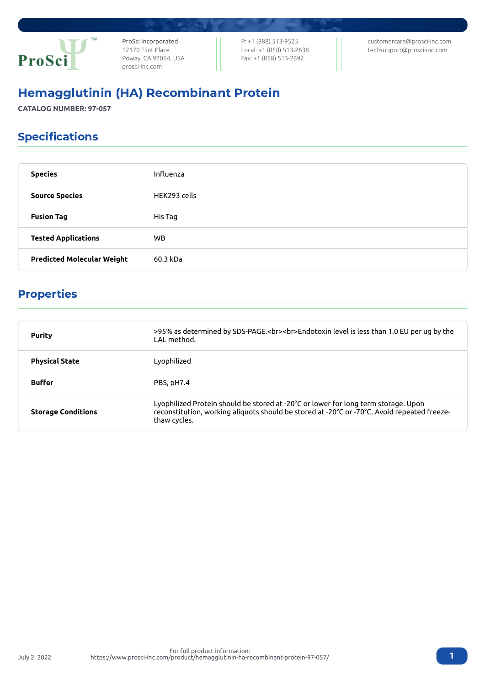

ProSci Incorporated 12170 Flint Place Poway, CA 92064, USA [prosci-inc.com](https://prosci-inc.com/)

P: +1 (888) 513-9525 Local: +1 (858) 513-2638 Fax: +1 (858) 513-2692

[customercare@prosci-inc.com](mailto:customercare@prosci-inc.com) [techsupport@prosci-inc.com](mailto:techsupport@prosci-inc.com)

# Hemagglutinin (HA) Recombinant Protein

**CATALOG NUMBER: 97-057**

# Specifications

| <b>Species</b>                    | Influenza    |
|-----------------------------------|--------------|
| <b>Source Species</b>             | HEK293 cells |
| <b>Fusion Tag</b>                 | His Tag      |
| <b>Tested Applications</b>        | WB.          |
| <b>Predicted Molecular Weight</b> | 60.3 kDa     |

## Properties

| <b>Purity</b>             | >95% as determined by SDS-PAGE.<br><br>>>Endotoxin level is less than 1.0 EU per ug by the<br>I AI method.                                                                                        |
|---------------------------|---------------------------------------------------------------------------------------------------------------------------------------------------------------------------------------------------|
| <b>Physical State</b>     | Lyophilized                                                                                                                                                                                       |
| <b>Buffer</b>             | PBS, pH7.4                                                                                                                                                                                        |
| <b>Storage Conditions</b> | Lyophilized Protein should be stored at -20°C or lower for long term storage. Upon<br>reconstitution, working aliquots should be stored at -20°C or -70°C. Avoid repeated freeze-<br>thaw cycles. |